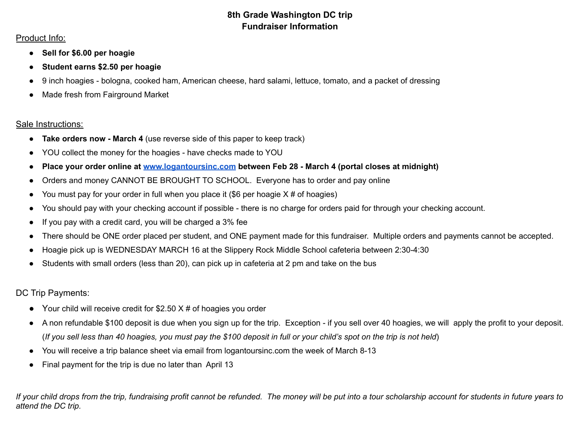## **8th Grade Washington DC trip Fundraiser Information**

## Product Info:

- **● Sell for \$6.00 per hoagie**
- **Student earns \$2.50 per hoagie**
- 9 inch hoagies bologna, cooked ham, American cheese, hard salami, lettuce, tomato, and a packet of dressing
- Made fresh from Fairground Market

## Sale Instructions:

- **Take orders now March 4** (use reverse side of this paper to keep track)
- YOU collect the money for the hoagies have checks made to YOU
- **● Place your order online at [www.logantoursinc.com](http://www.logantoursinc.com) between Feb 28 - March 4 (portal closes at midnight)**
- Orders and money CANNOT BE BROUGHT TO SCHOOL. Everyone has to order and pay online
- You must pay for your order in full when you place it  $(\$6$  per hoagie  $X \#$  of hoagies)
- You should pay with your checking account if possible there is no charge for orders paid for through your checking account.
- If you pay with a credit card, you will be charged a 3% fee
- There should be ONE order placed per student, and ONE payment made for this fundraiser. Multiple orders and payments cannot be accepted.
- Hoagie pick up is WEDNESDAY MARCH 16 at the Slippery Rock Middle School cafeteria between 2:30-4:30
- Students with small orders (less than 20), can pick up in cafeteria at 2 pm and take on the bus

DC Trip Payments:

- $\bullet$  Your child will receive credit for \$2.50 X # of hoagies you order
- A non refundable \$100 deposit is due when you sign up for the trip. Exception if you sell over 40 hoagies, we will apply the profit to your deposit. (If you sell less than 40 hoagies, you must pay the \$100 deposit in full or your child's spot on the trip is not held)
- You will receive a trip balance sheet via email from logantoursinc.com the week of March 8-13
- Final payment for the trip is due no later than April 13

If your child drops from the trip, fundraising profit cannot be refunded. The money will be put into a tour scholarship account for students in future years to *attend the DC trip.*